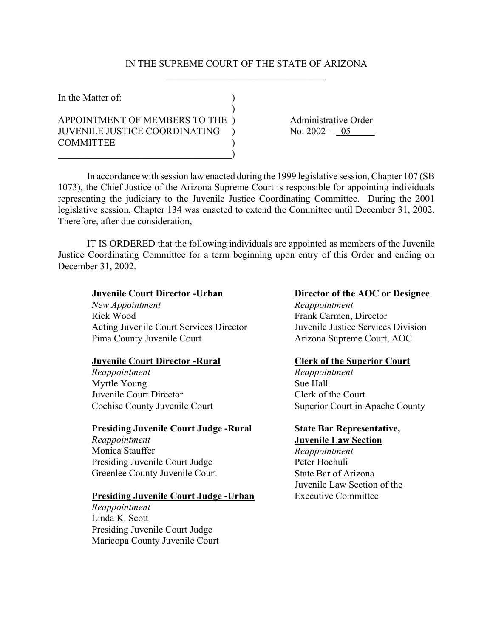# IN THE SUPREME COURT OF THE STATE OF ARIZONA  $\mathcal{L}_\text{max}$  , where  $\mathcal{L}_\text{max}$  and  $\mathcal{L}_\text{max}$  and  $\mathcal{L}_\text{max}$

| In the Matter of:                    |  |
|--------------------------------------|--|
| APPOINTMENT OF MEMBERS TO THE )      |  |
| <b>JUVENILE JUSTICE COORDINATING</b> |  |
| <b>COMMITTEE</b>                     |  |

Administrative Order No. 2002 - 05

In accordance with session law enacted during the 1999 legislative session, Chapter 107 (SB 1073), the Chief Justice of the Arizona Supreme Court is responsible for appointing individuals representing the judiciary to the Juvenile Justice Coordinating Committee. During the 2001 legislative session, Chapter 134 was enacted to extend the Committee until December 31, 2002. Therefore, after due consideration,

IT IS ORDERED that the following individuals are appointed as members of the Juvenile Justice Coordinating Committee for a term beginning upon entry of this Order and ending on December 31, 2002.

## **Juvenile Court Director -Urban**

*New Appointment* Rick Wood Acting Juvenile Court Services Director Pima County Juvenile Court

## **Juvenile Court Director -Rural**

*Reappointment* Myrtle Young Juvenile Court Director Cochise County Juvenile Court

### **Presiding Juvenile Court Judge -Rural**

*Reappointment* Monica Stauffer Presiding Juvenile Court Judge Greenlee County Juvenile Court

## **Presiding Juvenile Court Judge -Urban**

*Reappointment* Linda K. Scott Presiding Juvenile Court Judge Maricopa County Juvenile Court

# **Director of the AOC or Designee**

*Reappointment* Frank Carmen, Director Juvenile Justice Services Division Arizona Supreme Court, AOC

#### **Clerk of the Superior Court**

*Reappointment* Sue Hall Clerk of the Court Superior Court in Apache County

## **State Bar Representative, Juvenile Law Section**

*Reappointment* Peter Hochuli State Bar of Arizona Juvenile Law Section of the Executive Committee